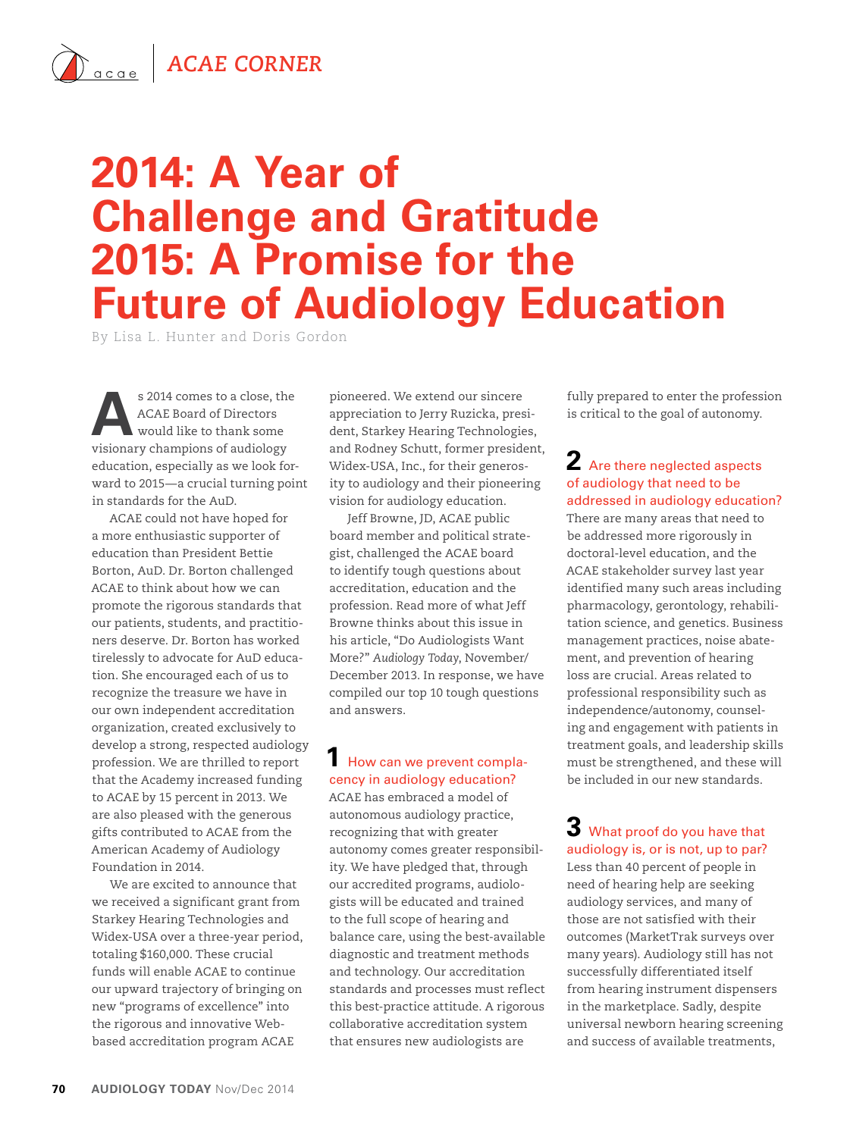## *ACAE Corner*

# **2014: A Year of Challenge and Gratitude 2015: A Promise for the Future of Audiology Education**

By Lisa L. Hunter and Doris Gordon

s 2014 comes to a close, the ACAE Board of Directors<br>would like to thank some<br>wisions of a showing of a visions ACAE Board of Directors visionary champions of audiology education, especially as we look forward to 2015—a crucial turning point in standards for the AuD.

ACAE could not have hoped for a more enthusiastic supporter of education than President Bettie Borton, AuD. Dr. Borton challenged ACAE to think about how we can promote the rigorous standards that our patients, students, and practitioners deserve. Dr. Borton has worked tirelessly to advocate for AuD education. She encouraged each of us to recognize the treasure we have in our own independent accreditation organization, created exclusively to develop a strong, respected audiology profession. We are thrilled to report that the Academy increased funding to ACAE by 15 percent in 2013. We are also pleased with the generous gifts contributed to ACAE from the American Academy of Audiology Foundation in 2014.

We are excited to announce that we received a significant grant from Starkey Hearing Technologies and Widex-USA over a three-year period, totaling \$160,000. These crucial funds will enable ACAE to continue our upward trajectory of bringing on new "programs of excellence" into the rigorous and innovative Webbased accreditation program ACAE

pioneered. We extend our sincere appreciation to Jerry Ruzicka, president, Starkey Hearing Technologies, and Rodney Schutt, former president, Widex-USA, Inc., for their generosity to audiology and their pioneering vision for audiology education.

Jeff Browne, JD, ACAE public board member and political strategist, challenged the ACAE board to identify tough questions about accreditation, education and the profession. Read more of what Jeff Browne thinks about this issue in his article, "Do Audiologists Want More?" *Audiology Today*, November/ December 2013. In response, we have compiled our top 10 tough questions and answers.

#### **1** How can we prevent complacency in audiology education?

ACAE has embraced a model of autonomous audiology practice, recognizing that with greater autonomy comes greater responsibility. We have pledged that, through our accredited programs, audiologists will be educated and trained to the full scope of hearing and balance care, using the best-available diagnostic and treatment methods and technology. Our accreditation standards and processes must reflect this best-practice attitude. A rigorous collaborative accreditation system that ensures new audiologists are

fully prepared to enter the profession is critical to the goal of autonomy.

#### **2** Are there neglected aspects of audiology that need to be addressed in audiology education?

There are many areas that need to be addressed more rigorously in doctoral-level education, and the ACAE stakeholder survey last year identified many such areas including pharmacology, gerontology, rehabilitation science, and genetics. Business management practices, noise abatement, and prevention of hearing loss are crucial. Areas related to professional responsibility such as independence/autonomy, counseling and engagement with patients in treatment goals, and leadership skills must be strengthened, and these will be included in our new standards.

### **3** What proof do you have that audiology is, or is not, up to par?

Less than 40 percent of people in need of hearing help are seeking audiology services, and many of those are not satisfied with their outcomes (MarketTrak surveys over many years). Audiology still has not successfully differentiated itself from hearing instrument dispensers in the marketplace. Sadly, despite universal newborn hearing screening and success of available treatments,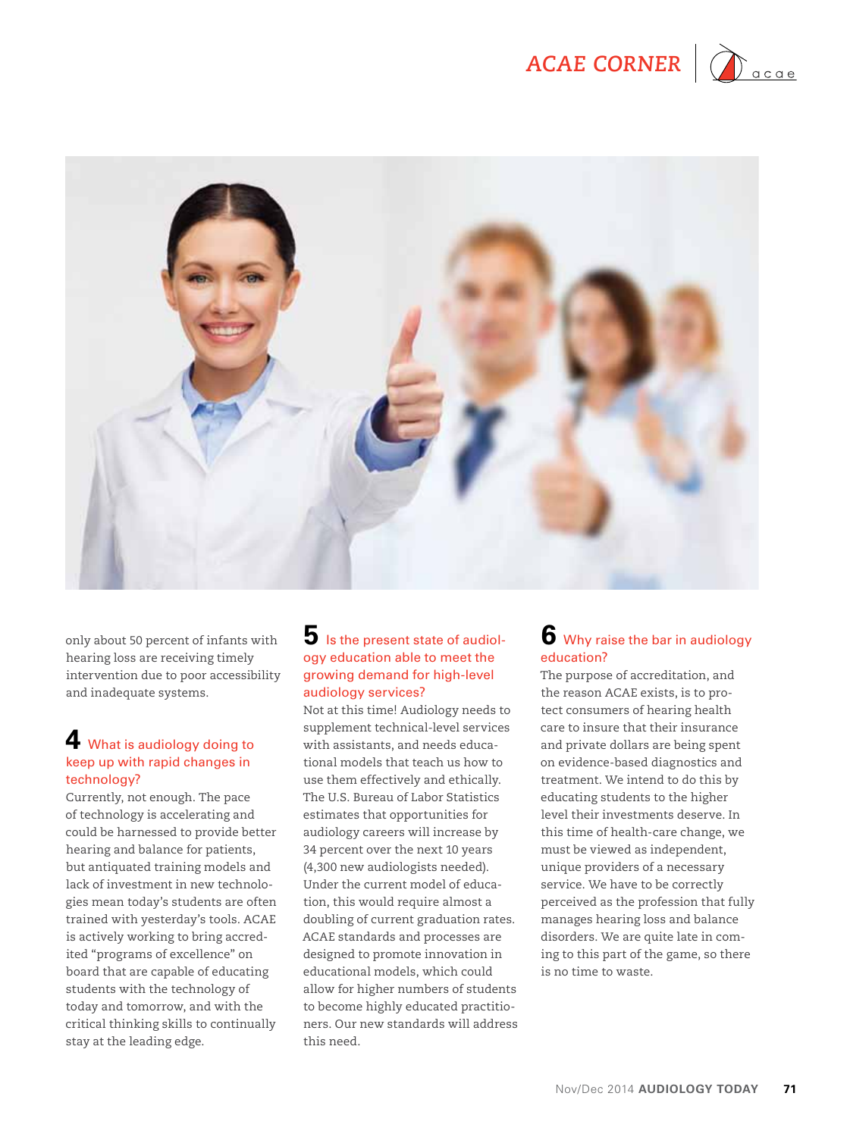



only about 50 percent of infants with hearing loss are receiving timely intervention due to poor accessibility and inadequate systems.

#### **4** What is audiology doing to keep up with rapid changes in technology?

Currently, not enough. The pace of technology is accelerating and could be harnessed to provide better hearing and balance for patients, but antiquated training models and lack of investment in new technologies mean today's students are often trained with yesterday's tools. ACAE is actively working to bring accredited "programs of excellence" on board that are capable of educating students with the technology of today and tomorrow, and with the critical thinking skills to continually stay at the leading edge.

#### **5** Is the present state of audiology education able to meet the growing demand for high-level audiology services?

Not at this time! Audiology needs to supplement technical-level services with assistants, and needs educational models that teach us how to use them effectively and ethically. The U.S. Bureau of Labor Statistics estimates that opportunities for audiology careers will increase by 34 percent over the next 10 years (4,300 new audiologists needed). Under the current model of education, this would require almost a doubling of current graduation rates. ACAE standards and processes are designed to promote innovation in educational models, which could allow for higher numbers of students to become highly educated practitioners. Our new standards will address this need.

#### **6** Why raise the bar in audiology education?

The purpose of accreditation, and the reason ACAE exists, is to protect consumers of hearing health care to insure that their insurance and private dollars are being spent on evidence-based diagnostics and treatment. We intend to do this by educating students to the higher level their investments deserve. In this time of health-care change, we must be viewed as independent, unique providers of a necessary service. We have to be correctly perceived as the profession that fully manages hearing loss and balance disorders. We are quite late in coming to this part of the game, so there is no time to waste.